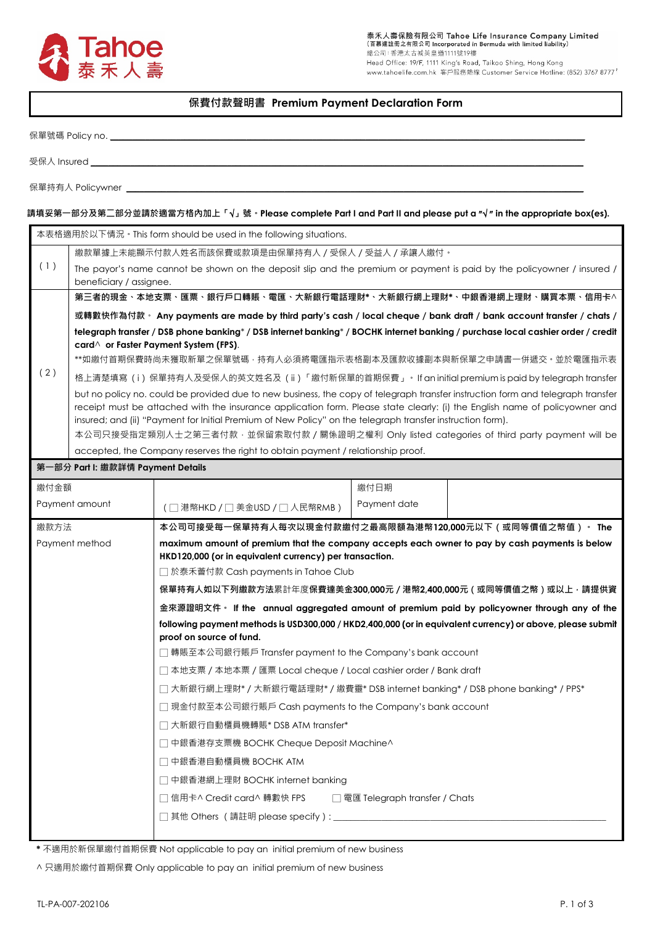

# **保費付款聲明書 Premium Payment Declaration Form**

保單號碼 Policy no.

受保人 Insured

保單持有人 Policywner \_

## **請填妥第一部分及第二部分並請於適當方格內加上「**√**」號。Please complete Part I and Part II and please put a** ″√ ″ **in the appropriate box(es).**

| 本表格適用於以下情況。This form should be used in the following situations.                                                                                         |                                                                                                                                                                                                                                                                                                                                                                                                                                                                            |                                                                                                                                                           |              |  |  |  |  |
|----------------------------------------------------------------------------------------------------------------------------------------------------------|----------------------------------------------------------------------------------------------------------------------------------------------------------------------------------------------------------------------------------------------------------------------------------------------------------------------------------------------------------------------------------------------------------------------------------------------------------------------------|-----------------------------------------------------------------------------------------------------------------------------------------------------------|--------------|--|--|--|--|
|                                                                                                                                                          | 繳款單據上未能顯示付款人姓名而該保費或款項是由保單持有人 / 受保人 / 受益人 / 承讓人繳付。                                                                                                                                                                                                                                                                                                                                                                                                                          |                                                                                                                                                           |              |  |  |  |  |
| (1)<br>The payor's name cannot be shown on the deposit slip and the premium or payment is paid by the policyowner / insured /<br>beneficiary / assignee. |                                                                                                                                                                                                                                                                                                                                                                                                                                                                            |                                                                                                                                                           |              |  |  |  |  |
|                                                                                                                                                          | 第三者的現金、本地支票、匯票、銀行戶口轉賬、電匯、大新銀行電話理財*、大新銀行網上理財*、中銀香港網上理財、購買本票、信用卡^                                                                                                                                                                                                                                                                                                                                                                                                            |                                                                                                                                                           |              |  |  |  |  |
|                                                                                                                                                          | 或轉數快作為付款。 Any payments are made by third party's cash / local cheque / bank draft / bank account transfer / chats /                                                                                                                                                                                                                                                                                                                                                        |                                                                                                                                                           |              |  |  |  |  |
|                                                                                                                                                          | telegraph transfer / DSB phone banking* / DSB internet banking* / BOCHK internet banking / purchase local cashier order / credit                                                                                                                                                                                                                                                                                                                                           |                                                                                                                                                           |              |  |  |  |  |
|                                                                                                                                                          | card $\land$ or Faster Payment System (FPS).<br>**如繳付首期保費時尚未獲取新單之保單號碼 · 持有人必須將電匯指示表格副本及匯款收據副本與新保單之申請書一併遞交 · 並於電匯指示表                                                                                                                                                                                                                                                                                                                                                        |                                                                                                                                                           |              |  |  |  |  |
| (2)                                                                                                                                                      | 格上清楚填寫(i)保單持有人及受保人的英文姓名及(ii)「繳付新保單的首期保費」。If an initial premium is paid by telegraph transfer                                                                                                                                                                                                                                                                                                                                                                               |                                                                                                                                                           |              |  |  |  |  |
|                                                                                                                                                          | but no policy no. could be provided due to new business, the copy of telegraph transfer instruction form and telegraph transfer<br>receipt must be attached with the insurance application form. Please state clearly: (i) the English name of policyowner and<br>insured; and (ii) "Payment for Initial Premium of New Policy" on the telegraph transfer instruction form).<br>本公司只接受指定類別人士之第三者付款,並保留索取付款 / 關係證明之權利 Only listed categories of third party payment will be |                                                                                                                                                           |              |  |  |  |  |
|                                                                                                                                                          |                                                                                                                                                                                                                                                                                                                                                                                                                                                                            | accepted, the Company reserves the right to obtain payment / relationship proof.                                                                          |              |  |  |  |  |
|                                                                                                                                                          | 第一部分 Part I: 繳款詳情 Payment Details                                                                                                                                                                                                                                                                                                                                                                                                                                          |                                                                                                                                                           |              |  |  |  |  |
| 繳付金額                                                                                                                                                     |                                                                                                                                                                                                                                                                                                                                                                                                                                                                            |                                                                                                                                                           | 繳付日期         |  |  |  |  |
|                                                                                                                                                          | Payment amount                                                                                                                                                                                                                                                                                                                                                                                                                                                             | (□ 港幣HKD/□ 美金USD/□ 人民幣RMB)                                                                                                                                | Payment date |  |  |  |  |
| 繳款方法                                                                                                                                                     |                                                                                                                                                                                                                                                                                                                                                                                                                                                                            | 本公司可接受每一保單持有人每次以現金付款繳付之最高限額為港幣120,000元以下(或同等價值之幣值)。 The                                                                                                   |              |  |  |  |  |
| Payment method                                                                                                                                           |                                                                                                                                                                                                                                                                                                                                                                                                                                                                            | maximum amount of premium that the company accepts each owner to pay by cash payments is below<br>HKD120,000 (or in equivalent currency) per transaction. |              |  |  |  |  |
|                                                                                                                                                          |                                                                                                                                                                                                                                                                                                                                                                                                                                                                            | □ 於泰禾薈付款 Cash payments in Tahoe Club                                                                                                                      |              |  |  |  |  |
|                                                                                                                                                          |                                                                                                                                                                                                                                                                                                                                                                                                                                                                            | 保單持有人如以下列繳款方法累計年度保費達美金300,000元 / 港幣2,400,000元 ( 或同等價值之幣 ) 或以上 · 請提供資                                                                                      |              |  |  |  |  |
|                                                                                                                                                          |                                                                                                                                                                                                                                                                                                                                                                                                                                                                            | 金來源證明文件。 If the annual aggregated amount of premium paid by policyowner through any of the                                                                |              |  |  |  |  |
|                                                                                                                                                          |                                                                                                                                                                                                                                                                                                                                                                                                                                                                            | following payment methods is USD300,000 / HKD2,400,000 (or in equivalent currency) or above, please submit<br>proof on source of fund.                    |              |  |  |  |  |
|                                                                                                                                                          |                                                                                                                                                                                                                                                                                                                                                                                                                                                                            | □ 轉賬至本公司銀行賬戶 Transfer payment to the Company's bank account                                                                                               |              |  |  |  |  |
|                                                                                                                                                          |                                                                                                                                                                                                                                                                                                                                                                                                                                                                            | □ 本地支票 / 本地本票 / 匯票 Local cheque / Local cashier order / Bank draft                                                                                        |              |  |  |  |  |
|                                                                                                                                                          |                                                                                                                                                                                                                                                                                                                                                                                                                                                                            | □ 大新銀行網上理財* / 大新銀行電話理財* / 繳費靈* DSB internet banking* / DSB phone banking* / PPS*                                                                          |              |  |  |  |  |
|                                                                                                                                                          |                                                                                                                                                                                                                                                                                                                                                                                                                                                                            | □ 現金付款至本公司銀行賬戶 Cash payments to the Company's bank account                                                                                                |              |  |  |  |  |
|                                                                                                                                                          |                                                                                                                                                                                                                                                                                                                                                                                                                                                                            | □ 大新銀行自動櫃員機轉賬* DSB ATM transfer*                                                                                                                          |              |  |  |  |  |
|                                                                                                                                                          |                                                                                                                                                                                                                                                                                                                                                                                                                                                                            | □ 中銀香港存支票機 BOCHK Cheque Deposit Machine^                                                                                                                  |              |  |  |  |  |
|                                                                                                                                                          |                                                                                                                                                                                                                                                                                                                                                                                                                                                                            | □ 中銀香港自動櫃員機 BOCHK ATM                                                                                                                                     |              |  |  |  |  |
|                                                                                                                                                          |                                                                                                                                                                                                                                                                                                                                                                                                                                                                            | □ 中銀香港網上理財 BOCHK internet banking                                                                                                                         |              |  |  |  |  |
|                                                                                                                                                          |                                                                                                                                                                                                                                                                                                                                                                                                                                                                            | □ 信用卡^ Credit card^ 轉數快 FPS<br>□ 電匯 Telegraph transfer / Chats                                                                                            |              |  |  |  |  |
|                                                                                                                                                          |                                                                                                                                                                                                                                                                                                                                                                                                                                                                            |                                                                                                                                                           |              |  |  |  |  |
|                                                                                                                                                          |                                                                                                                                                                                                                                                                                                                                                                                                                                                                            |                                                                                                                                                           |              |  |  |  |  |

**\*** 不適用於新保單繳付首期保費 Not applicable to pay an initial premium of new business

^ 只適用於繳付首期保費 Only applicable to pay an initial premium of new business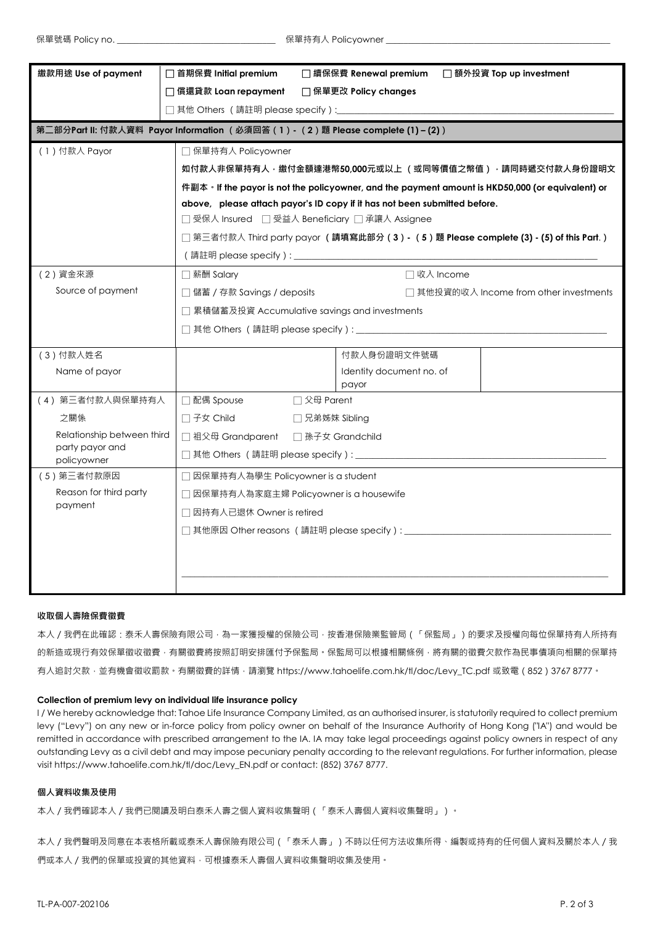| □ 償還貸款 Loan repayment<br>□ 保單更改 Policy changes<br>第二部分Part II: 付款人資料 Payor Information (必須回答(1)- (2)題 Please complete (1) – (2))<br>(1) 付款人 Payor<br>□ 保單持有人 Policyowner<br>如付款人非保單持有人 · 繳付金額達港幣50,000元或以上 (或同等價值之幣值) · 請同時遞交付款人身份證明文<br>件副本 • If the payor is not the policyowner, and the payment amount is HKD50,000 (or equivalent) or<br>above, please attach payor's ID copy if it has not been submitted before.<br>□受保人 Insured □受益人 Beneficiary □承讓人 Assignee<br>□ 第三者付款人 Third party payor (請填寫此部分(3)- (5)題 Please complete (3) - (5) of this Part.)<br>(2) 資金來源<br>□收入 Income<br>□ 薪酬 Salary<br>Source of payment<br>□ 儲蓄 / 存款 Savings / deposits<br>□ 其他投資的收入 Income from other investments<br>□ 累積儲蓄及投資 Accumulative savings and investments<br>(3)付款人姓名<br>付款人身份證明文件號碼<br>Name of payor<br>Identity document no. of<br>payor<br>(4) 第三者付款人與保單持有人<br>□ 父母 Parent<br>□ 配偶 Spouse<br>之關係<br>□ 子女 Child<br>□ 兄弟姊妹 Sibling<br>Relationship between third<br>□ 祖父母 Grandparent □ 孫子女 Grandchild<br>party payor and<br>policyowner<br>□ 因保單持有人為學生 Policyowner is a student<br>(5) 第三者付款原因<br>Reason for third party<br>□ 因保單持有人為家庭主婦 Policyowner is a housewife<br>payment<br>□ 因持有人已退休 Owner is retired<br>□ 其他原因 Other reasons (請註明 please specify) : _____________________ | 繳款用途 Use of payment | □ 首期保費 Initial premium<br>□ 額外投資 Top up investment<br>□ 續保保費 Renewal premium |  |  |  |  |  |
|--------------------------------------------------------------------------------------------------------------------------------------------------------------------------------------------------------------------------------------------------------------------------------------------------------------------------------------------------------------------------------------------------------------------------------------------------------------------------------------------------------------------------------------------------------------------------------------------------------------------------------------------------------------------------------------------------------------------------------------------------------------------------------------------------------------------------------------------------------------------------------------------------------------------------------------------------------------------------------------------------------------------------------------------------------------------------------------------------------------------------------------------------------------------------------------------------------------------------------------------------------------------------------------|---------------------|------------------------------------------------------------------------------|--|--|--|--|--|
|                                                                                                                                                                                                                                                                                                                                                                                                                                                                                                                                                                                                                                                                                                                                                                                                                                                                                                                                                                                                                                                                                                                                                                                                                                                                                      |                     |                                                                              |  |  |  |  |  |
|                                                                                                                                                                                                                                                                                                                                                                                                                                                                                                                                                                                                                                                                                                                                                                                                                                                                                                                                                                                                                                                                                                                                                                                                                                                                                      |                     |                                                                              |  |  |  |  |  |
|                                                                                                                                                                                                                                                                                                                                                                                                                                                                                                                                                                                                                                                                                                                                                                                                                                                                                                                                                                                                                                                                                                                                                                                                                                                                                      |                     |                                                                              |  |  |  |  |  |
|                                                                                                                                                                                                                                                                                                                                                                                                                                                                                                                                                                                                                                                                                                                                                                                                                                                                                                                                                                                                                                                                                                                                                                                                                                                                                      |                     |                                                                              |  |  |  |  |  |
|                                                                                                                                                                                                                                                                                                                                                                                                                                                                                                                                                                                                                                                                                                                                                                                                                                                                                                                                                                                                                                                                                                                                                                                                                                                                                      |                     |                                                                              |  |  |  |  |  |
|                                                                                                                                                                                                                                                                                                                                                                                                                                                                                                                                                                                                                                                                                                                                                                                                                                                                                                                                                                                                                                                                                                                                                                                                                                                                                      |                     |                                                                              |  |  |  |  |  |
|                                                                                                                                                                                                                                                                                                                                                                                                                                                                                                                                                                                                                                                                                                                                                                                                                                                                                                                                                                                                                                                                                                                                                                                                                                                                                      |                     |                                                                              |  |  |  |  |  |
|                                                                                                                                                                                                                                                                                                                                                                                                                                                                                                                                                                                                                                                                                                                                                                                                                                                                                                                                                                                                                                                                                                                                                                                                                                                                                      |                     |                                                                              |  |  |  |  |  |
|                                                                                                                                                                                                                                                                                                                                                                                                                                                                                                                                                                                                                                                                                                                                                                                                                                                                                                                                                                                                                                                                                                                                                                                                                                                                                      |                     |                                                                              |  |  |  |  |  |
|                                                                                                                                                                                                                                                                                                                                                                                                                                                                                                                                                                                                                                                                                                                                                                                                                                                                                                                                                                                                                                                                                                                                                                                                                                                                                      |                     |                                                                              |  |  |  |  |  |
|                                                                                                                                                                                                                                                                                                                                                                                                                                                                                                                                                                                                                                                                                                                                                                                                                                                                                                                                                                                                                                                                                                                                                                                                                                                                                      |                     |                                                                              |  |  |  |  |  |
|                                                                                                                                                                                                                                                                                                                                                                                                                                                                                                                                                                                                                                                                                                                                                                                                                                                                                                                                                                                                                                                                                                                                                                                                                                                                                      |                     |                                                                              |  |  |  |  |  |
|                                                                                                                                                                                                                                                                                                                                                                                                                                                                                                                                                                                                                                                                                                                                                                                                                                                                                                                                                                                                                                                                                                                                                                                                                                                                                      |                     |                                                                              |  |  |  |  |  |
|                                                                                                                                                                                                                                                                                                                                                                                                                                                                                                                                                                                                                                                                                                                                                                                                                                                                                                                                                                                                                                                                                                                                                                                                                                                                                      |                     |                                                                              |  |  |  |  |  |
|                                                                                                                                                                                                                                                                                                                                                                                                                                                                                                                                                                                                                                                                                                                                                                                                                                                                                                                                                                                                                                                                                                                                                                                                                                                                                      |                     |                                                                              |  |  |  |  |  |
|                                                                                                                                                                                                                                                                                                                                                                                                                                                                                                                                                                                                                                                                                                                                                                                                                                                                                                                                                                                                                                                                                                                                                                                                                                                                                      |                     |                                                                              |  |  |  |  |  |
|                                                                                                                                                                                                                                                                                                                                                                                                                                                                                                                                                                                                                                                                                                                                                                                                                                                                                                                                                                                                                                                                                                                                                                                                                                                                                      |                     |                                                                              |  |  |  |  |  |
|                                                                                                                                                                                                                                                                                                                                                                                                                                                                                                                                                                                                                                                                                                                                                                                                                                                                                                                                                                                                                                                                                                                                                                                                                                                                                      |                     |                                                                              |  |  |  |  |  |
|                                                                                                                                                                                                                                                                                                                                                                                                                                                                                                                                                                                                                                                                                                                                                                                                                                                                                                                                                                                                                                                                                                                                                                                                                                                                                      |                     |                                                                              |  |  |  |  |  |
|                                                                                                                                                                                                                                                                                                                                                                                                                                                                                                                                                                                                                                                                                                                                                                                                                                                                                                                                                                                                                                                                                                                                                                                                                                                                                      |                     |                                                                              |  |  |  |  |  |
|                                                                                                                                                                                                                                                                                                                                                                                                                                                                                                                                                                                                                                                                                                                                                                                                                                                                                                                                                                                                                                                                                                                                                                                                                                                                                      |                     |                                                                              |  |  |  |  |  |
|                                                                                                                                                                                                                                                                                                                                                                                                                                                                                                                                                                                                                                                                                                                                                                                                                                                                                                                                                                                                                                                                                                                                                                                                                                                                                      |                     |                                                                              |  |  |  |  |  |
|                                                                                                                                                                                                                                                                                                                                                                                                                                                                                                                                                                                                                                                                                                                                                                                                                                                                                                                                                                                                                                                                                                                                                                                                                                                                                      |                     |                                                                              |  |  |  |  |  |
|                                                                                                                                                                                                                                                                                                                                                                                                                                                                                                                                                                                                                                                                                                                                                                                                                                                                                                                                                                                                                                                                                                                                                                                                                                                                                      |                     |                                                                              |  |  |  |  |  |
|                                                                                                                                                                                                                                                                                                                                                                                                                                                                                                                                                                                                                                                                                                                                                                                                                                                                                                                                                                                                                                                                                                                                                                                                                                                                                      |                     |                                                                              |  |  |  |  |  |
|                                                                                                                                                                                                                                                                                                                                                                                                                                                                                                                                                                                                                                                                                                                                                                                                                                                                                                                                                                                                                                                                                                                                                                                                                                                                                      |                     |                                                                              |  |  |  |  |  |
|                                                                                                                                                                                                                                                                                                                                                                                                                                                                                                                                                                                                                                                                                                                                                                                                                                                                                                                                                                                                                                                                                                                                                                                                                                                                                      |                     |                                                                              |  |  |  |  |  |
|                                                                                                                                                                                                                                                                                                                                                                                                                                                                                                                                                                                                                                                                                                                                                                                                                                                                                                                                                                                                                                                                                                                                                                                                                                                                                      |                     |                                                                              |  |  |  |  |  |

### **收取個人壽險保費徵費**

本人/我們在此確認:泰禾人壽保險有限公司·為一家獲授權的保險公司·按香港保險業監管局(「保監局」)的要求及授權向每位保單持有人所持有 的新造或現行有效保單徵收徵費,有關徵費將按照訂明安排匯付予保監局。保監局可以根據相關條例,將有關的徵費欠款作為民事債項向相關的保單持 有人追討欠款, 並有機會徵收罰款。有關徵費的詳情, 請瀏覽 [https://www.tahoelife.com.hk/tl/doc/Levy\\_TC.pdf](https://www.tahoelife.com.hk/tl/doc/Levy_TC.pdf) 或致電 (852)3767 8777。

### **Collection of premium levy on individual life insurance policy**

I / We hereby acknowledge that: Tahoe Life Insurance Company Limited, as an authorised insurer, is statutorily required to collect premium levy ("Levy") on any new or in-force policy from policy owner on behalf of the Insurance Authority of Hong Kong ("IA") and would be remitted in accordance with prescribed arrangement to the IA. IA may take legal proceedings against policy owners in respect of any outstanding Levy as a civil debt and may impose pecuniary penalty according to the relevant regulations. For further information, please visit [https://www.tahoelife.com.hk/tl/doc/Levy\\_EN.pdf](https://www.tahoelife.com.hk/tl/doc/Levy_EN.pdf) or contact: (852) 3767 8777.

### **個人資料收集及使用**

本人/我們確認本人/我們已閱讀及明白泰禾人壽之個人資料收集聲明(「泰禾人壽個人資料收集聲明」)。

本人/我們聲明及同意在本表格所載或泰禾人壽保險有限公司(「泰禾人壽」)不時以任何方法收集所得、編製或持有的任何個人資料及關於本人/我 們或本人 / 我們的保單或投資的其他資料,可根據泰禾人壽個人資料收集聲明收集及使用。